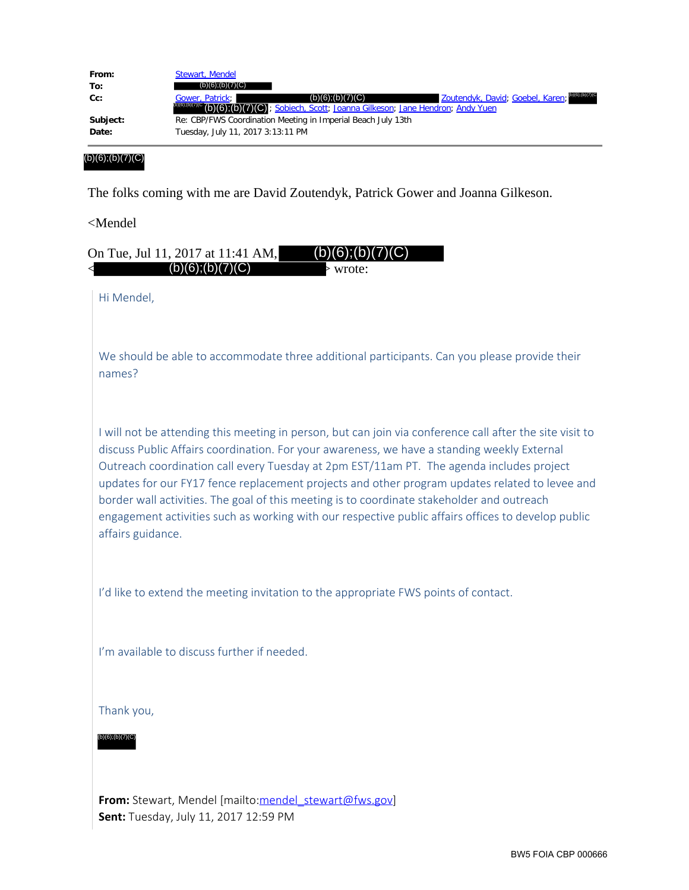| From:    | Stewart, Mendel                                                                                                   |
|----------|-------------------------------------------------------------------------------------------------------------------|
| To:      | (b)(6); (b)(7)(C)                                                                                                 |
| Cc:      | Zoutendyk, David; Goebel, Karen; DIGITEDITIE<br>(b)(6); (b)(7)(C)<br>Gower, Patrick;                              |
|          | <sup>(b)(6)</sup> (b) <sup>(7)(c</sup> (b)(6);(b)(c)(c); Sobiech, Scott; Joanna Gilkeson; Jane Hendron; Andy Yuen |
| Subject: | Re: CBP/FWS Coordination Meeting in Imperial Beach July 13th                                                      |
| Date:    | Tuesday, July 11, 2017 3:13:11 PM                                                                                 |
|          |                                                                                                                   |

(b)(6);(b)(7)(C)

The folks coming with me are David Zoutendyk, Patrick Gower and Joanna Gilkeson.

<Mendel

| (b)(6); (b)(7)(C)<br>On Tue, Jul 11, 2017 at 11:41 AM,<br>(b)(6); (b)(7)(C)<br>> wrote:                                                                                                                                                                                                                                                                                                                                                                                                                                                                                                                                        |
|--------------------------------------------------------------------------------------------------------------------------------------------------------------------------------------------------------------------------------------------------------------------------------------------------------------------------------------------------------------------------------------------------------------------------------------------------------------------------------------------------------------------------------------------------------------------------------------------------------------------------------|
| Hi Mendel,                                                                                                                                                                                                                                                                                                                                                                                                                                                                                                                                                                                                                     |
| We should be able to accommodate three additional participants. Can you please provide their<br>names?                                                                                                                                                                                                                                                                                                                                                                                                                                                                                                                         |
| I will not be attending this meeting in person, but can join via conference call after the site visit to<br>discuss Public Affairs coordination. For your awareness, we have a standing weekly External<br>Outreach coordination call every Tuesday at 2pm EST/11am PT. The agenda includes project<br>updates for our FY17 fence replacement projects and other program updates related to levee and<br>border wall activities. The goal of this meeting is to coordinate stakeholder and outreach<br>engagement activities such as working with our respective public affairs offices to develop public<br>affairs guidance. |
| I'd like to extend the meeting invitation to the appropriate FWS points of contact.                                                                                                                                                                                                                                                                                                                                                                                                                                                                                                                                            |
| I'm available to discuss further if needed.                                                                                                                                                                                                                                                                                                                                                                                                                                                                                                                                                                                    |
| Thank you,                                                                                                                                                                                                                                                                                                                                                                                                                                                                                                                                                                                                                     |
| (b)(6);(b)(7)(C)                                                                                                                                                                                                                                                                                                                                                                                                                                                                                                                                                                                                               |
| From: Stewart, Mendel [mailto:mendel_stewart@fws.gov]                                                                                                                                                                                                                                                                                                                                                                                                                                                                                                                                                                          |
| Sent: Tuesday, July 11, 2017 12:59 PM                                                                                                                                                                                                                                                                                                                                                                                                                                                                                                                                                                                          |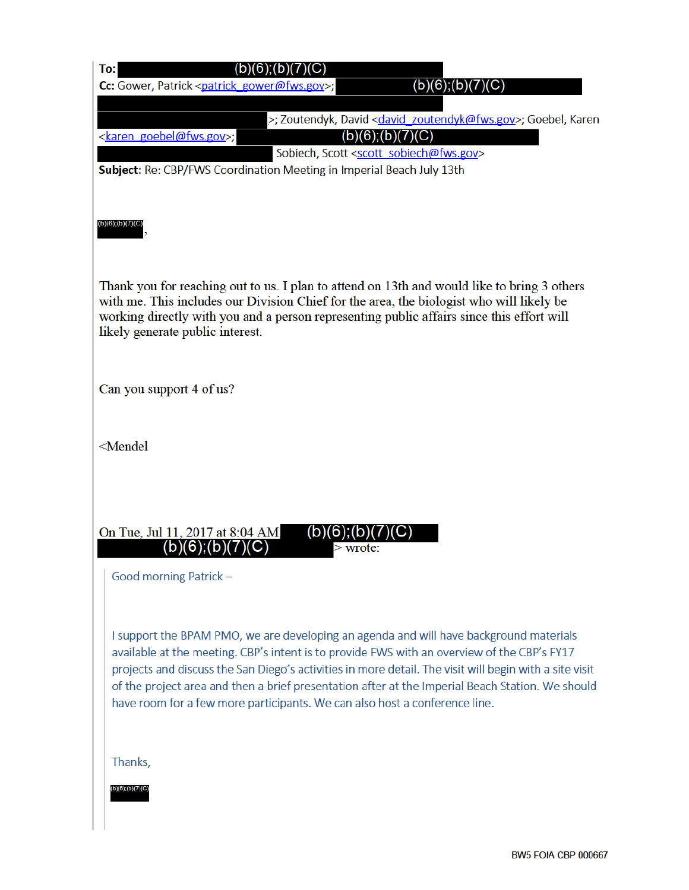| To:                                                                                                                                                                                                                                                                                                                      |                 |                                                                                                                                                                                                                                                                                                                                                                                                     |  |  |  |  |  |
|--------------------------------------------------------------------------------------------------------------------------------------------------------------------------------------------------------------------------------------------------------------------------------------------------------------------------|-----------------|-----------------------------------------------------------------------------------------------------------------------------------------------------------------------------------------------------------------------------------------------------------------------------------------------------------------------------------------------------------------------------------------------------|--|--|--|--|--|
| Cc: Gower, Patrick <patrick gower@fws.gov="">;</patrick>                                                                                                                                                                                                                                                                 |                 | $(b)(6)$ ;(b)(7)(C)                                                                                                                                                                                                                                                                                                                                                                                 |  |  |  |  |  |
| <karen goebel@fws.gov="">;<br/>Subject: Re: CBP/FWS Coordination Meeting in Imperial Beach July 13th</karen>                                                                                                                                                                                                             |                 | >; Zoutendyk, David < david zoutendyk@fws.gov>; Goebel, Karen<br>$(b)(6)$ ; $(b)(7)(C)$<br>Sobiech, Scott <scott_sobiech@fws.gov></scott_sobiech@fws.gov>                                                                                                                                                                                                                                           |  |  |  |  |  |
| $(b)(6)$ ; $(b)(7)(C)$                                                                                                                                                                                                                                                                                                   |                 |                                                                                                                                                                                                                                                                                                                                                                                                     |  |  |  |  |  |
| Thank you for reaching out to us. I plan to attend on 13th and would like to bring 3 others<br>with me. This includes our Division Chief for the area, the biologist who will likely be<br>working directly with you and a person representing public affairs since this effort will<br>likely generate public interest. |                 |                                                                                                                                                                                                                                                                                                                                                                                                     |  |  |  |  |  |
| Can you support 4 of us?                                                                                                                                                                                                                                                                                                 |                 |                                                                                                                                                                                                                                                                                                                                                                                                     |  |  |  |  |  |
| <mendel< td=""></mendel<>                                                                                                                                                                                                                                                                                                |                 |                                                                                                                                                                                                                                                                                                                                                                                                     |  |  |  |  |  |
| On Tue, Jul 11, 2017 at 8:04 AM.<br>(b)(6);(b)(7)(C)<br>Good morning Patrick-                                                                                                                                                                                                                                            | (b)<br>> wrote: |                                                                                                                                                                                                                                                                                                                                                                                                     |  |  |  |  |  |
| have room for a few more participants. We can also host a conference line.                                                                                                                                                                                                                                               |                 | I support the BPAM PMO, we are developing an agenda and will have background materials<br>available at the meeting. CBP's intent is to provide FWS with an overview of the CBP's FY17<br>projects and discuss the San Diego's activities in more detail. The visit will begin with a site visit<br>of the project area and then a brief presentation after at the Imperial Beach Station. We should |  |  |  |  |  |
| Thanks,<br>(b)(6);(b)(7)(C)                                                                                                                                                                                                                                                                                              |                 |                                                                                                                                                                                                                                                                                                                                                                                                     |  |  |  |  |  |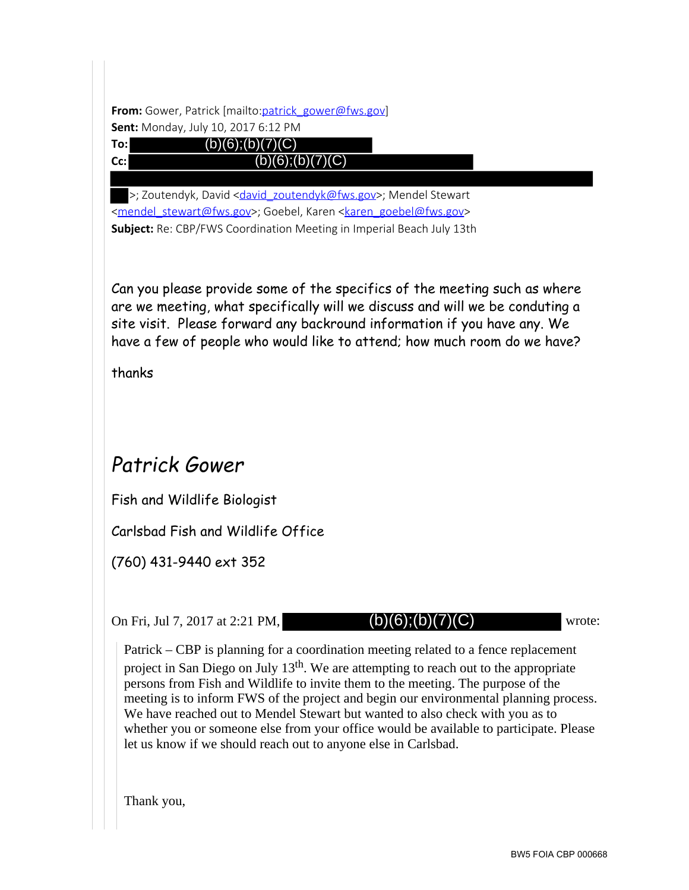From: Gower, Patrick [mailto:patrick\_gower@fws.gov]

**Sent:** Monday, July 10, 2017 6:12 PM  $(b)(6);(b)(7)(C)$ 



 $(b)(6);(b)(7)(C)$ 

>; Zoutendyk, David <david\_zoutendyk@fws.gov>; Mendel Stewart <mendel\_stewart@fws.gov>; Goebel, Karen <karen goebel@fws.gov> **Subject:** Re: CBP/FWS Coordination Meeting in Imperial Beach July 13th

Can you please provide some of the specifics of the meeting such as where are we meeting, what specifically will we discuss and will we be conduting a site visit. Please forward any backround information if you have any. We have a few of people who would like to attend; how much room do we have?

thanks

## Patrick Gower

Fish and Wildlife Biologist

Carlsbad Fish and Wildlife Office

(760) 431-9440 ext 352

On Fri, Jul 7, 2017 at 2:21 PM,  $(b)(6)(b)(7)(C)$  wrote:

 $(b)(6);(b)(7)(C)$ 

Patrick – CBP is planning for a coordination meeting related to a fence replacement project in San Diego on July  $13<sup>th</sup>$ . We are attempting to reach out to the appropriate persons from Fish and Wildlife to invite them to the meeting. The purpose of the meeting is to inform FWS of the project and begin our environmental planning process. We have reached out to Mendel Stewart but wanted to also check with you as to whether you or someone else from your office would be available to participate. Please let us know if we should reach out to anyone else in Carlsbad.

Thank you,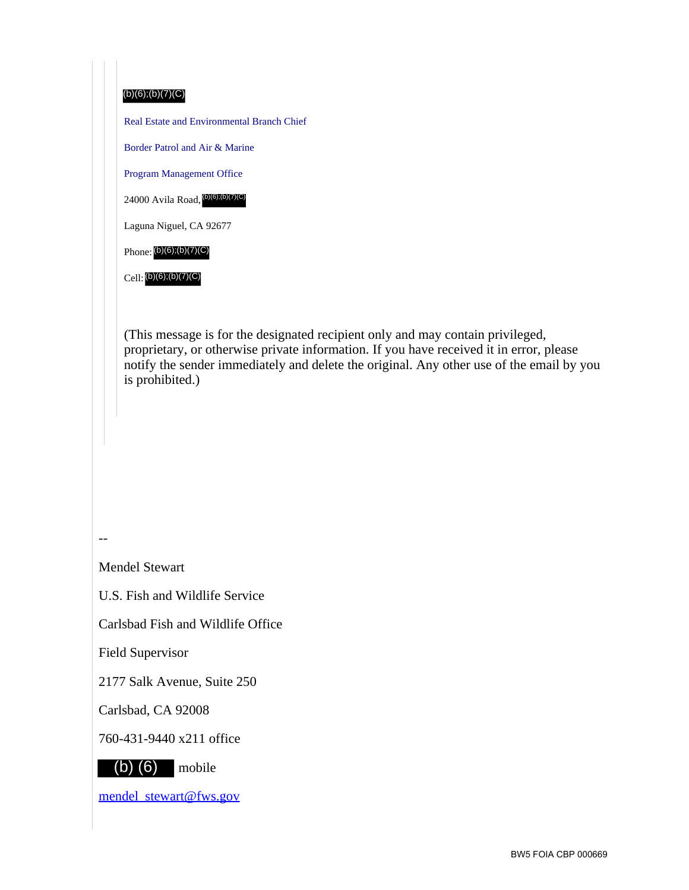

Carlsbad Fish and Wildlife Office

Field Supervisor

2177 Salk Avenue, Suite 250

Carlsbad, CA 92008

760-431-9440 x211 office



mendel\_stewart@fws.gov